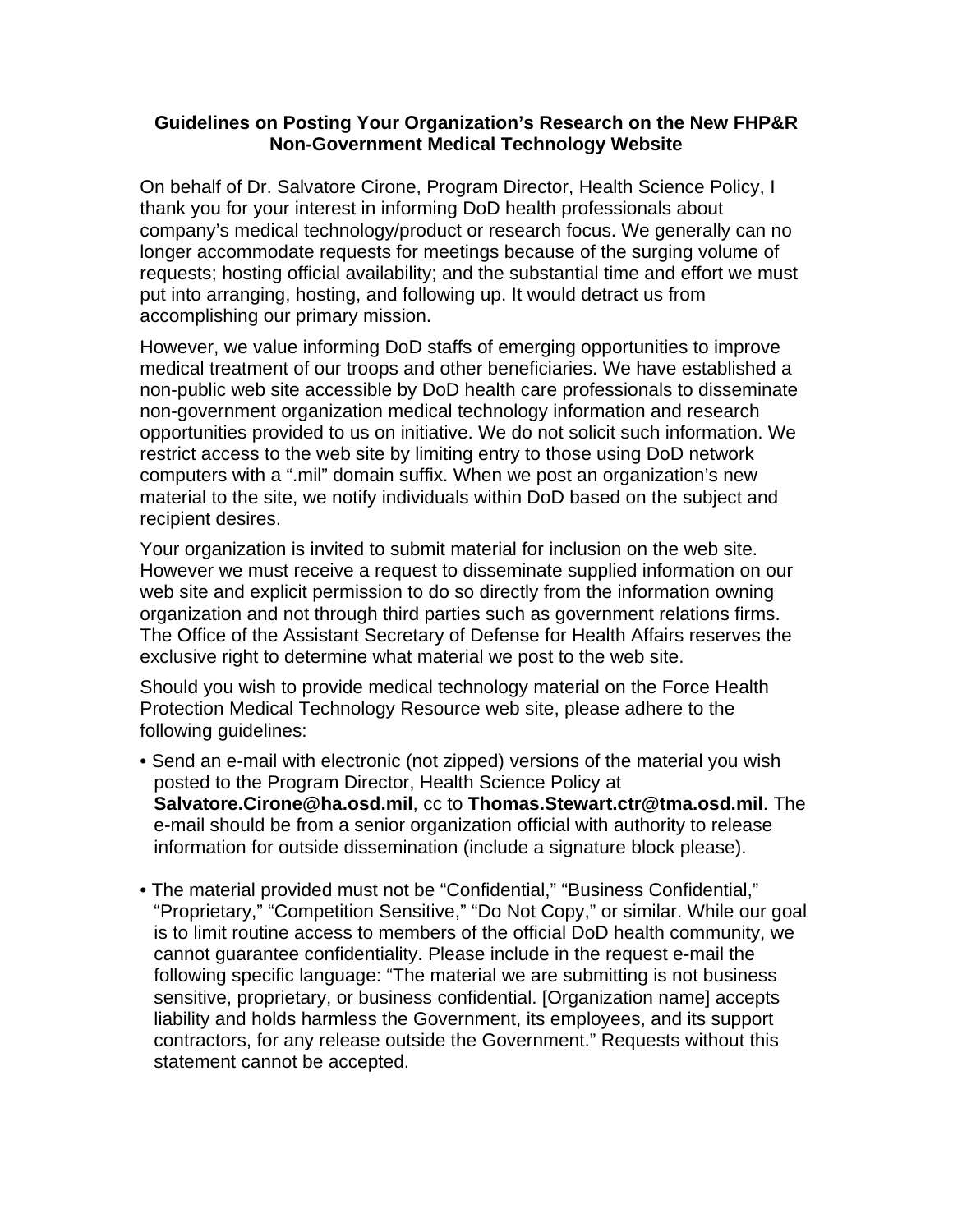## **Guidelines on Posting Your Organization's Research on the New FHP&R Non-Government Medical Technology Website**

On behalf of Dr. Salvatore Cirone, Program Director, Health Science Policy, I thank you for your interest in informing DoD health professionals about company's medical technology/product or research focus. We generally can no longer accommodate requests for meetings because of the surging volume of requests; hosting official availability; and the substantial time and effort we must put into arranging, hosting, and following up. It would detract us from accomplishing our primary mission.

However, we value informing DoD staffs of emerging opportunities to improve medical treatment of our troops and other beneficiaries. We have established a non-public web site accessible by DoD health care professionals to disseminate non-government organization medical technology information and research opportunities provided to us on initiative. We do not solicit such information. We restrict access to the web site by limiting entry to those using DoD network computers with a ".mil" domain suffix. When we post an organization's new material to the site, we notify individuals within DoD based on the subject and recipient desires.

Your organization is invited to submit material for inclusion on the web site. However we must receive a request to disseminate supplied information on our web site and explicit permission to do so directly from the information owning organization and not through third parties such as government relations firms. The Office of the Assistant Secretary of Defense for Health Affairs reserves the exclusive right to determine what material we post to the web site.

Should you wish to provide medical technology material on the Force Health Protection Medical Technology Resource web site, please adhere to the following guidelines:

- Send an e-mail with electronic (not zipped) versions of the material you wish posted to the Program Director, Health Science Policy at **Salvatore.Cirone@ha.osd.mil**, cc to **Thomas.Stewart.ctr@tma.osd.mil**. The e-mail should be from a senior organization official with authority to release information for outside dissemination (include a signature block please).
- The material provided must not be "Confidential," "Business Confidential," "Proprietary," "Competition Sensitive," "Do Not Copy," or similar. While our goal is to limit routine access to members of the official DoD health community, we cannot guarantee confidentiality. Please include in the request e-mail the following specific language: "The material we are submitting is not business sensitive, proprietary, or business confidential. [Organization name] accepts liability and holds harmless the Government, its employees, and its support contractors, for any release outside the Government." Requests without this statement cannot be accepted.